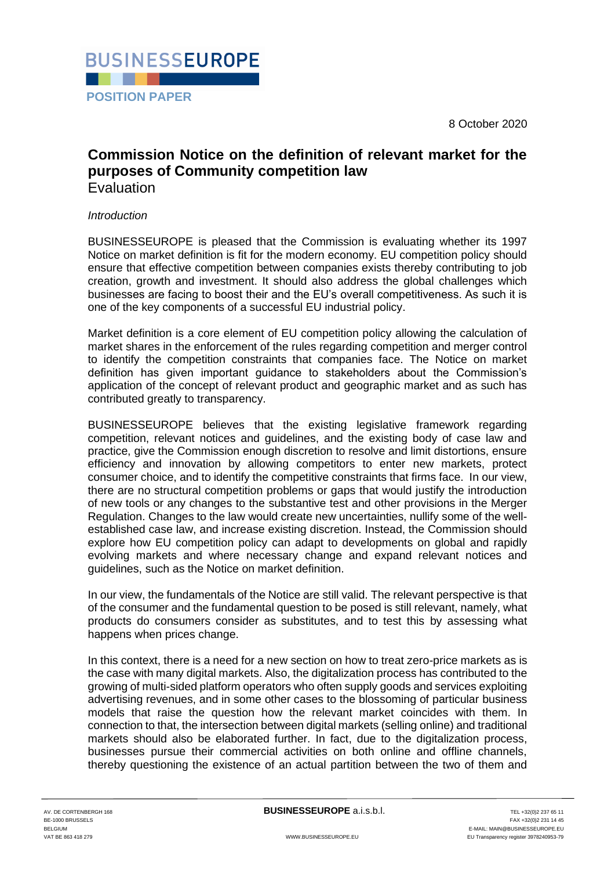8 October 2020



# **Commission Notice on the definition of relevant market for the purposes of Community competition law** Evaluation

# *Introduction*

BUSINESSEUROPE is pleased that the Commission is evaluating whether its 1997 Notice on market definition is fit for the modern economy. EU competition policy should ensure that effective competition between companies exists thereby contributing to job creation, growth and investment. It should also address the global challenges which businesses are facing to boost their and the EU's overall competitiveness. As such it is one of the key components of a successful EU industrial policy.

Market definition is a core element of EU competition policy allowing the calculation of market shares in the enforcement of the rules regarding competition and merger control to identify the competition constraints that companies face. The Notice on market definition has given important guidance to stakeholders about the Commission's application of the concept of relevant product and geographic market and as such has contributed greatly to transparency.

BUSINESSEUROPE believes that the existing legislative framework regarding competition, relevant notices and guidelines, and the existing body of case law and practice, give the Commission enough discretion to resolve and limit distortions, ensure efficiency and innovation by allowing competitors to enter new markets, protect consumer choice, and to identify the competitive constraints that firms face. In our view, there are no structural competition problems or gaps that would justify the introduction of new tools or any changes to the substantive test and other provisions in the Merger Regulation. Changes to the law would create new uncertainties, nullify some of the wellestablished case law, and increase existing discretion. Instead, the Commission should explore how EU competition policy can adapt to developments on global and rapidly evolving markets and where necessary change and expand relevant notices and guidelines, such as the Notice on market definition.

In our view, the fundamentals of the Notice are still valid. The relevant perspective is that of the consumer and the fundamental question to be posed is still relevant, namely, what products do consumers consider as substitutes, and to test this by assessing what happens when prices change.

In this context, there is a need for a new section on how to treat zero-price markets as is the case with many digital markets. Also, the digitalization process has contributed to the growing of multi-sided platform operators who often supply goods and services exploiting advertising revenues, and in some other cases to the blossoming of particular business models that raise the question how the relevant market coincides with them. In connection to that, the intersection between digital markets (selling online) and traditional markets should also be elaborated further. In fact, due to the digitalization process, businesses pursue their commercial activities on both online and offline channels, thereby questioning the existence of an actual partition between the two of them and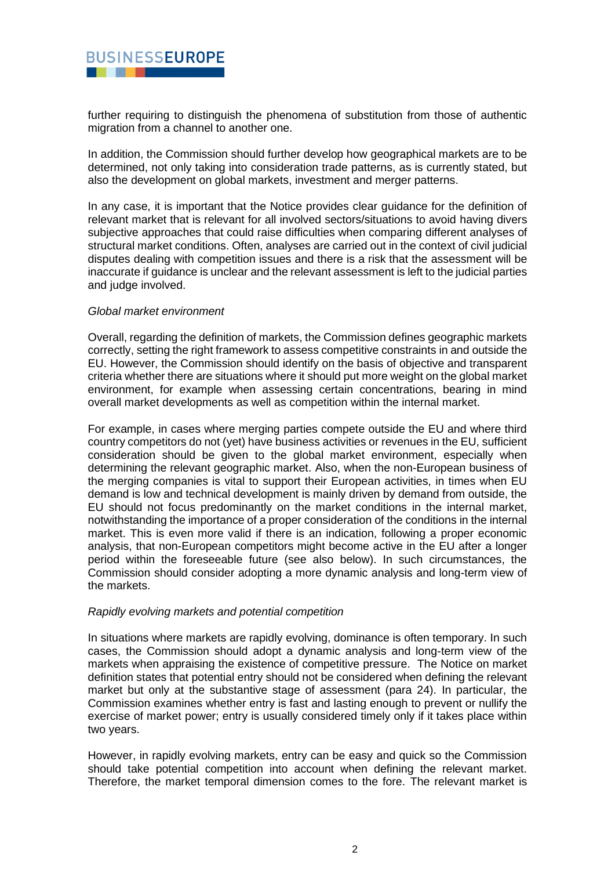

further requiring to distinguish the phenomena of substitution from those of authentic migration from a channel to another one.

In addition, the Commission should further develop how geographical markets are to be determined, not only taking into consideration trade patterns, as is currently stated, but also the development on global markets, investment and merger patterns.

In any case, it is important that the Notice provides clear guidance for the definition of relevant market that is relevant for all involved sectors/situations to avoid having divers subjective approaches that could raise difficulties when comparing different analyses of structural market conditions. Often, analyses are carried out in the context of civil judicial disputes dealing with competition issues and there is a risk that the assessment will be inaccurate if guidance is unclear and the relevant assessment is left to the judicial parties and judge involved.

#### *Global market environment*

Overall, regarding the definition of markets, the Commission defines geographic markets correctly, setting the right framework to assess competitive constraints in and outside the EU. However, the Commission should identify on the basis of objective and transparent criteria whether there are situations where it should put more weight on the global market environment, for example when assessing certain concentrations, bearing in mind overall market developments as well as competition within the internal market.

For example, in cases where merging parties compete outside the EU and where third country competitors do not (yet) have business activities or revenues in the EU, sufficient consideration should be given to the global market environment, especially when determining the relevant geographic market. Also, when the non-European business of the merging companies is vital to support their European activities, in times when EU demand is low and technical development is mainly driven by demand from outside, the EU should not focus predominantly on the market conditions in the internal market, notwithstanding the importance of a proper consideration of the conditions in the internal market. This is even more valid if there is an indication, following a proper economic analysis, that non-European competitors might become active in the EU after a longer period within the foreseeable future (see also below). In such circumstances, the Commission should consider adopting a more dynamic analysis and long-term view of the markets.

#### *Rapidly evolving markets and potential competition*

In situations where markets are rapidly evolving, dominance is often temporary. In such cases, the Commission should adopt a dynamic analysis and long-term view of the markets when appraising the existence of competitive pressure. The Notice on market definition states that potential entry should not be considered when defining the relevant market but only at the substantive stage of assessment (para 24). In particular, the Commission examines whether entry is fast and lasting enough to prevent or nullify the exercise of market power; entry is usually considered timely only if it takes place within two years.

However, in rapidly evolving markets, entry can be easy and quick so the Commission should take potential competition into account when defining the relevant market. Therefore, the market temporal dimension comes to the fore. The relevant market is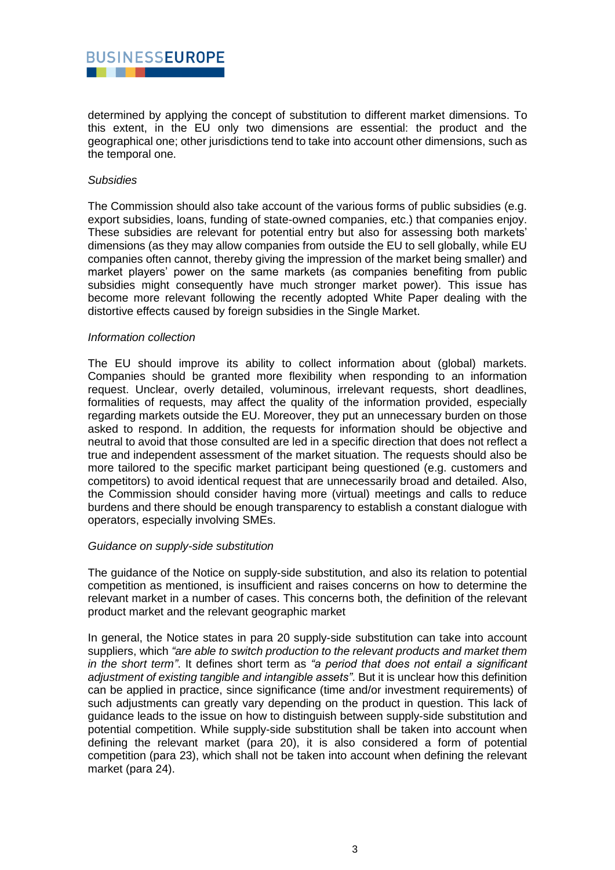# **BUSINESSEUROPE**

determined by applying the concept of substitution to different market dimensions. To this extent, in the EU only two dimensions are essential: the product and the geographical one; other jurisdictions tend to take into account other dimensions, such as the temporal one.

## *Subsidies*

The Commission should also take account of the various forms of public subsidies (e.g. export subsidies, loans, funding of state-owned companies, etc.) that companies enjoy. These subsidies are relevant for potential entry but also for assessing both markets' dimensions (as they may allow companies from outside the EU to sell globally, while EU companies often cannot, thereby giving the impression of the market being smaller) and market players' power on the same markets (as companies benefiting from public subsidies might consequently have much stronger market power). This issue has become more relevant following the recently adopted White Paper dealing with the distortive effects caused by foreign subsidies in the Single Market.

#### *Information collection*

The EU should improve its ability to collect information about (global) markets. Companies should be granted more flexibility when responding to an information request. Unclear, overly detailed, voluminous, irrelevant requests, short deadlines, formalities of requests, may affect the quality of the information provided, especially regarding markets outside the EU. Moreover, they put an unnecessary burden on those asked to respond. In addition, the requests for information should be objective and neutral to avoid that those consulted are led in a specific direction that does not reflect a true and independent assessment of the market situation. The requests should also be more tailored to the specific market participant being questioned (e.g. customers and competitors) to avoid identical request that are unnecessarily broad and detailed. Also, the Commission should consider having more (virtual) meetings and calls to reduce burdens and there should be enough transparency to establish a constant dialogue with operators, especially involving SMEs.

# *Guidance on supply-side substitution*

The guidance of the Notice on supply-side substitution, and also its relation to potential competition as mentioned, is insufficient and raises concerns on how to determine the relevant market in a number of cases. This concerns both, the definition of the relevant product market and the relevant geographic market

In general, the Notice states in para 20 supply-side substitution can take into account suppliers, which *"are able to switch production to the relevant products and market them in the short term"*. It defines short term as *"a period that does not entail a significant adjustment of existing tangible and intangible assets"*. But it is unclear how this definition can be applied in practice, since significance (time and/or investment requirements) of such adjustments can greatly vary depending on the product in question. This lack of guidance leads to the issue on how to distinguish between supply-side substitution and potential competition. While supply-side substitution shall be taken into account when defining the relevant market (para 20), it is also considered a form of potential competition (para 23), which shall not be taken into account when defining the relevant market (para 24).